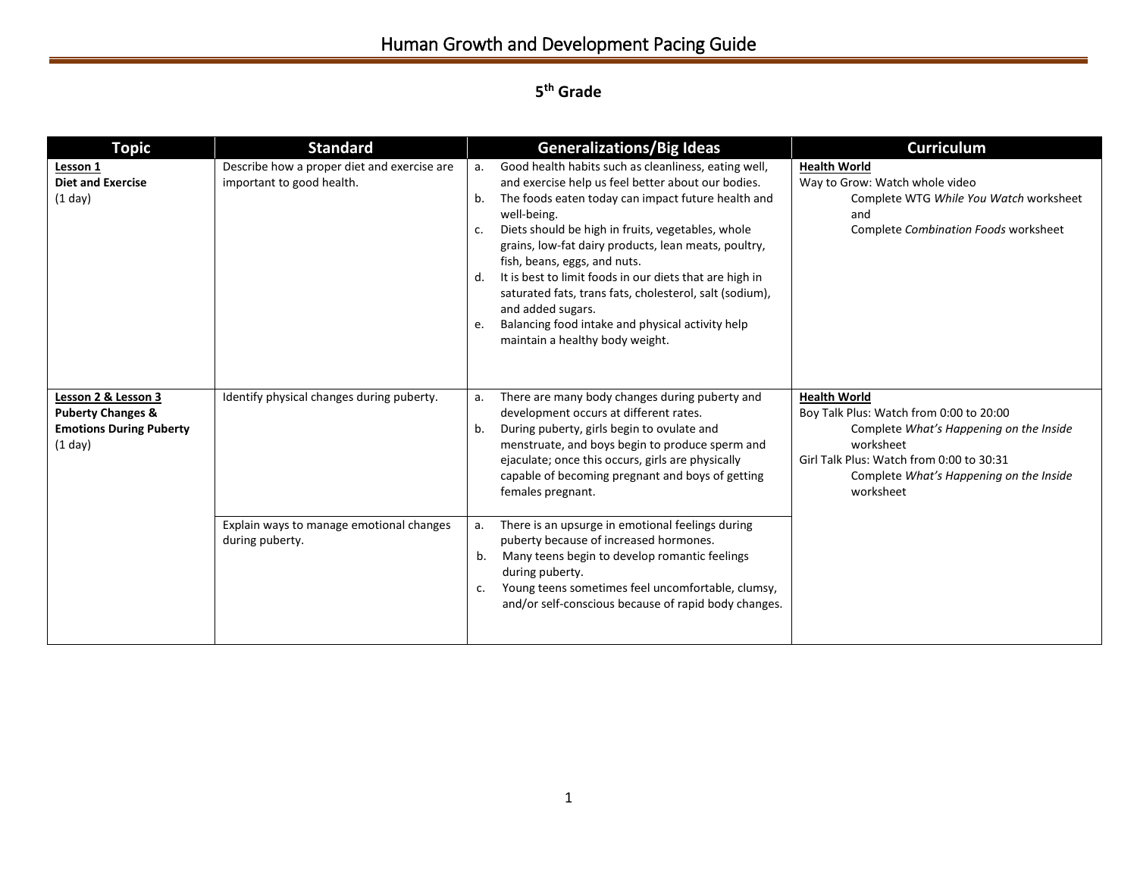## Human Growth and Development Pacing Guide

## **5 th Grade**

| <b>Topic</b>                                                                                     | <b>Standard</b>                                                                                          |                            | <b>Generalizations/Big Ideas</b>                                                                                                                                                                                                                                                                                                                                                                                                                                                                                                                                                                       | <b>Curriculum</b>                                                                                                                                                                                                          |
|--------------------------------------------------------------------------------------------------|----------------------------------------------------------------------------------------------------------|----------------------------|--------------------------------------------------------------------------------------------------------------------------------------------------------------------------------------------------------------------------------------------------------------------------------------------------------------------------------------------------------------------------------------------------------------------------------------------------------------------------------------------------------------------------------------------------------------------------------------------------------|----------------------------------------------------------------------------------------------------------------------------------------------------------------------------------------------------------------------------|
| Lesson 1<br><b>Diet and Exercise</b><br>(1 day)                                                  | Describe how a proper diet and exercise are<br>important to good health.                                 | a.<br>b.<br>c.<br>d.<br>e. | Good health habits such as cleanliness, eating well,<br>and exercise help us feel better about our bodies.<br>The foods eaten today can impact future health and<br>well-being.<br>Diets should be high in fruits, vegetables, whole<br>grains, low-fat dairy products, lean meats, poultry,<br>fish, beans, eggs, and nuts.<br>It is best to limit foods in our diets that are high in<br>saturated fats, trans fats, cholesterol, salt (sodium),<br>and added sugars.<br>Balancing food intake and physical activity help<br>maintain a healthy body weight.                                         | <b>Health World</b><br>Way to Grow: Watch whole video<br>Complete WTG While You Watch worksheet<br>and<br><b>Complete Combination Foods worksheet</b>                                                                      |
| Lesson 2 & Lesson 3<br><b>Puberty Changes &amp;</b><br><b>Emotions During Puberty</b><br>(1 day) | Identify physical changes during puberty.<br>Explain ways to manage emotional changes<br>during puberty. | a.<br>b.<br>a.<br>b.<br>c. | There are many body changes during puberty and<br>development occurs at different rates.<br>During puberty, girls begin to ovulate and<br>menstruate, and boys begin to produce sperm and<br>ejaculate; once this occurs, girls are physically<br>capable of becoming pregnant and boys of getting<br>females pregnant.<br>There is an upsurge in emotional feelings during<br>puberty because of increased hormones.<br>Many teens begin to develop romantic feelings<br>during puberty.<br>Young teens sometimes feel uncomfortable, clumsy,<br>and/or self-conscious because of rapid body changes. | <b>Health World</b><br>Boy Talk Plus: Watch from 0:00 to 20:00<br>Complete What's Happening on the Inside<br>worksheet<br>Girl Talk Plus: Watch from 0:00 to 30:31<br>Complete What's Happening on the Inside<br>worksheet |
|                                                                                                  |                                                                                                          |                            |                                                                                                                                                                                                                                                                                                                                                                                                                                                                                                                                                                                                        |                                                                                                                                                                                                                            |